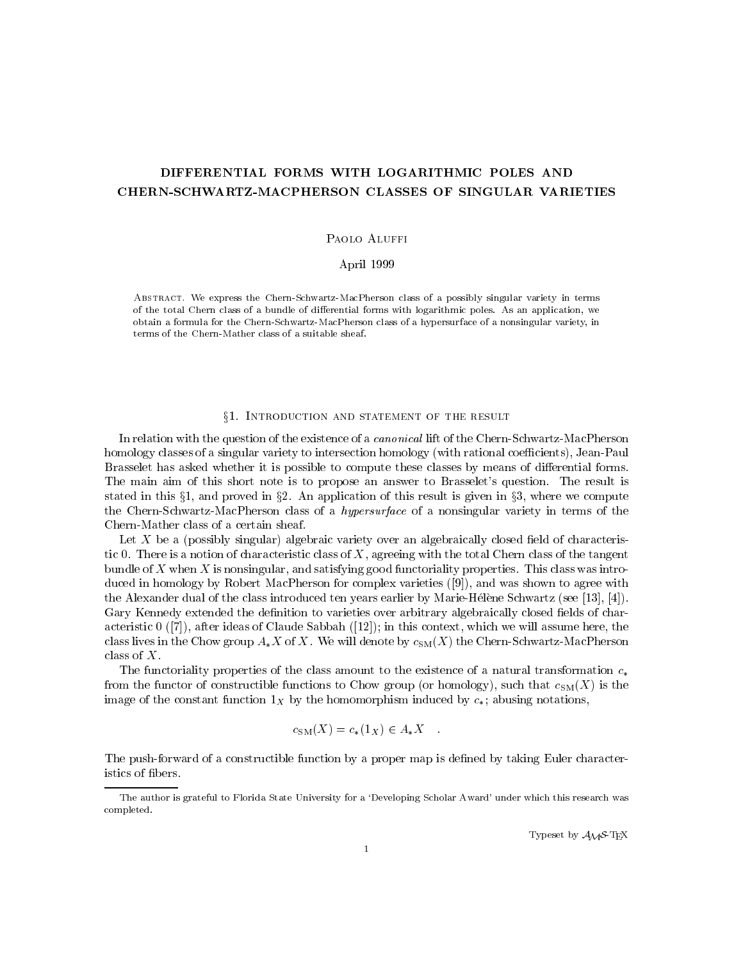# DIFFERENTIAL FORMS WITH LOGARITHMIC POLES AND CHERN-SCHWARTZ-MACPHERSON CLASSES OF SINGULAR VARIETIES

# Paolo Aluffi

# April 1999

Abstract. We express the Chern-Schwartz-MacPherson class of a possibly singular variety in terms of the total Chern class of a bundle of dierential forms with logarithmic poles. As an application, we obtain a formula for the Chern-Schwartz-MacPherson class of a hypersurface of a nonsingular variety, in terms of the Chern-Mather class of a suitable sheaf.

### §1. INTRODUCTION AND STATEMENT OF THE RESULT

In relation with the question of the existence of a *canonical* lift of the Chern-Schwartz-MacPherson homology classes of a singular variety to intersection homology (with rational coefficients), Jean-Paul Brasselet has asked whether it is possible to compute these classes by means of differential forms. The main aim of this short note is to propose an answer to Brasselet's question. The result is stated in this  $\S1$ , and proved in  $\S2$ . An application of this result is given in  $\S3$ , where we compute the Chern-Schwartz-MacPherson class of a hypersurface of a nonsingular variety in terms of the Chern-Mather class of a certain sheaf.

Let  $X$  be a (possibly singular) algebraic variety over an algebraically closed field of characteristic 0. There is a notion of characteristic class of  $X$ , agreeing with the total Chern class of the tangent bundle of X when X is nonsingular, and satisfying good functoriality properties. This class was introduced in homology by Robert MacPherson for complex varieties ([9]), and was shown to agree with the Alexander dual of the class introduced ten years earlier by Marie-Hélène Schwartz (see [13], [4]). Gary Kennedy extended the definition to varieties over arbitrary algebraically closed fields of characteristic  $0$  ([7]), after ideas of Claude Sabbah ([12]); in this context, which we will assume here, the class lives in the Chow group  $A*X$  of X. We will denote by  $c_{SM}(X)$  the Chern-Schwartz-MacPherson class of X.

The functoriality properties of the class amount to the existence of a natural transformation  $c_*$ from the functor of constructible functions to Chow group (or homology), such that  $c_{SM}(X)$  is the image of the constant function  $1_X$  by the homomorphism induced by  $c_*$ ; abusing notations,

$$
c_{\text{SM}}(X) = c_*(1_X) \in A_*X \quad .
$$

The push-forward of a constructible function by a proper map is defined by taking Euler characteristics of bers.

Typeset by  $\mathcal{A}_{\mathcal{M}}\mathcal{S}\text{-}\mathrm{Tr}X$ 

The author is grateful to Florida State University for a 'Developing Scholar Award' under which this research was completed.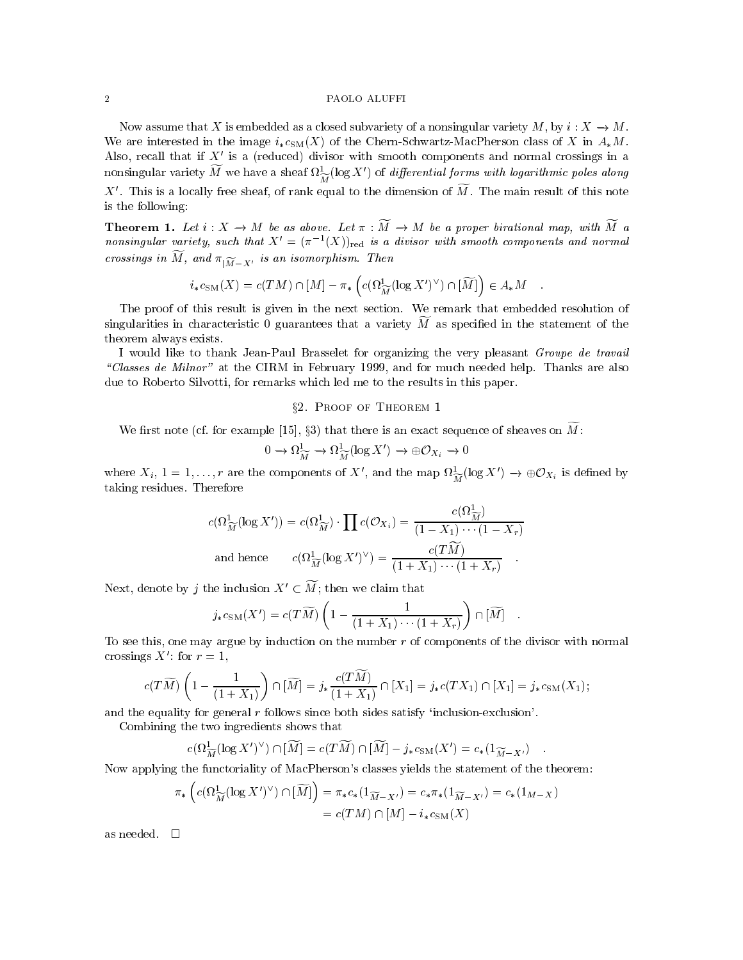### 2 PAOLO ALUFFI

Now assume that X is embedded as a closed subvariety of a nonsingular variety M, by  $i: X \to M$ . We are interested in the image  $i_{*}c_{SM}(X)$  of the Chern-Schwartz-MacPherson class of X in  $A_{*}M$ . Also, recall that if  $X'$  is a (reduced) divisor with smooth components and normal crossings in a honsingular variety  $M$  we have a sheaf  $\imath_{\widetilde{M}}$ (log  $X$  ) of *algerential forms with logarithmic poles along* X'. This is a locally free sheaf, of rank equal to the dimension of  $\widetilde{M}$ . The main result of this note is the following:

**Theorem 1.** Let  $i : X \to M$  be as above. Let  $\pi : \widetilde{M} \to M$  be a proper birational map, with  $\widetilde{M}$  a nonsingular variety, such that  $X^0 = (\pi^{-1}(X))_{\text{red}}$  is a aivisor with smooth components and normal crossings in  $M$ , and  $\pi|_{\widetilde{M}-X'}$  is an isomorphism. Then

$$
i_*c_{\text{SM}}(X) = c(TM) \cap [M] - \pi_* \left( c(\Omega_{\widetilde{M}}^1 (\log X')^{\vee}) \cap [\widetilde{M}] \right) \in A_*M \quad .
$$

The proof of this result is given in the next section. We remark that embedded resolution of singularities in characteristic  $\theta$  guarantees that a variety M as specified in the statement of the theorem always exists.

I would like to thank Jean-Paul Brasselet for organizing the very pleasant Groupe de travail \Classes de Milnor" at the CIRM in February 1999, and for much needed help. Thanks are also due to Roberto Silvotti, for remarks which led me to the results in this paper.

# §2. PROOF OF THEOREM 1

We first note (cf. for example [15], §3) that there is an exact sequence of sheaves on  $\widetilde{M}$ :

$$
0 \to \Omega^1_{\widetilde{M}} \to \Omega^1_{\widetilde{M}}(\log X') \to \oplus \mathcal{O}_{X_i} \to 0
$$

where  $X_i$ ,  $1 = 1, \ldots, r$  are the components of  $X$ , and the map  $\mathcal{M}_{\widetilde{M}}(log X) \to \oplus \mathcal{O}_{X_i}$  is defined by taking residues. Therefore

$$
c(\Omega_{\widetilde{M}}^1(\log X')) = c(\Omega_{\widetilde{M}}^1) \cdot \prod c(\mathcal{O}_{X_i}) = \frac{c(\Omega_{\widetilde{M}}^1)}{(1 - X_1) \cdots (1 - X_r)}
$$
  
and hence 
$$
c(\Omega_{\widetilde{M}}^1(\log X')^{\vee}) = \frac{c(T\widetilde{M})}{(1 + X_1) \cdots (1 + X_r)}
$$

Next, denote by *j* the inclusion  $X' \subset \widetilde{M}$ ; then we claim that

$$
j_*c_{\text{SM}}(X') = c(T\widetilde{M})\left(1 - \frac{1}{(1+X_1)\cdots(1+X_r)}\right) \cap [\widetilde{M}] \quad .
$$

To see this, one may argue by induction on the number  $r$  of components of the divisor with normal crossings  $X'$ : for  $r = 1$ ,

$$
c(T\widetilde{M})\left(1-\frac{1}{(1+X_1)}\right)\cap[\widetilde{M}]=j_*\frac{c(T\widetilde{M})}{(1+X_1)}\cap[X_1]=j_*c(TX_1)\cap[X_1]=j_*c_{\text{SM}}(X_1);
$$

and the equality for general  $r$  follows since both sides satisfy 'inclusion-exclusion'.

Combining the two ingredients shows that

$$
c(\Omega_{\widetilde{M}}^1(\log X')^{\vee}) \cap [\widetilde{M}] = c(T\widetilde{M}) \cap [\widetilde{M}] - j_*c_{\text{SM}}(X') = c_*(1_{\widetilde{M}-X'})
$$

Now applying the functoriality of MacPherson's classes yields the statement of the theorem:

$$
\pi_*\left(c(\Omega_{\widetilde{M}}^1(\log X')^\vee) \cap [\widetilde{M}]\right) = \pi_*c_*(1_{\widetilde{M}-X'}) = c_*\pi_*(1_{\widetilde{M}-X'}) = c_*(1_{M}-X)
$$

$$
= c(TM) \cap [M] - i_*c_{SM}(X)
$$

as needed.  $\square$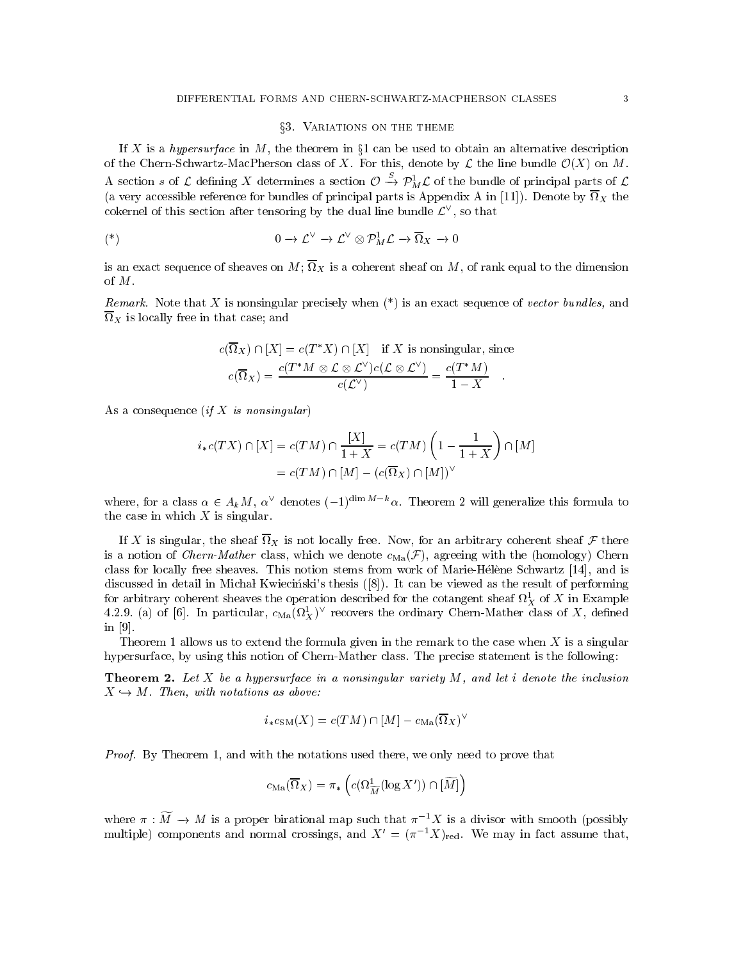### §3. VARIATIONS ON THE THEME

If X is a hypersurface in M, the theorem in  $\S1$  can be used to obtain an alternative description of the Chern-Schwartz-MacPherson class of X. For this, denote by  $\mathcal L$  the line bundle  $\mathcal O(X)$  on M. A section s of L defining X determines a section  $\mathcal{O} \to \mathcal{P}_M^+ \mathcal{L}$  of the bundle of principal parts of L (a very accessible reference for principal parts is Appendix A in  $\mathcal{A}$ cokernel of this section after tensoring by the dual line bundle  $L^+$ , so that

$$
(*)\qquad \qquad 0 \to \mathcal{L}^{\vee} \to \mathcal{L}^{\vee} \otimes \mathcal{P}_M^1 \mathcal{L} \to \overline{\Omega}_X \to 0
$$

is an exact sequence of sheaf on M, of  $\lambda$  is a coherent sheaf on  $\alpha$  is the dimension  $\alpha$  and  $\alpha$ of M.

 $R$ emark. Note that  $\Lambda$  is nonsingular precisely when (\*) is an exact sequence of vector bundles, and  $X$  is locally free in that case; and case; and case; and case; and case; and case; and case; and case; and case; and case; and case; and case; and case; and case; and case; and case; and case; and case; and case; and cas

$$
c(\overline{\Omega}_X) \cap [X] = c(T^*X) \cap [X] \quad \text{if } X \text{ is nonsingular, since}
$$
\n
$$
c(\overline{\Omega}_X) = \frac{c(T^*M \otimes \mathcal{L} \otimes \mathcal{L}^{\vee})c(\mathcal{L} \otimes \mathcal{L}^{\vee})}{c(\mathcal{L}^{\vee})} = \frac{c(T^*M)}{1-X} \quad .
$$

As a consequence  $(if X is nonsingular)$ 

$$
i_*c(TX) \cap [X] = c(TM) \cap \frac{[X]}{1+X} = c(TM) \left(1 - \frac{1}{1+X}\right) \cap [M]
$$

$$
= c(TM) \cap [M] - (c(\overline{\Omega}_X) \cap [M])^{\vee}
$$

where, for a class  $\alpha \in A_k M$ ,  $\alpha^{\vee}$  denotes  $(-1)^{\dim M-k}\alpha$ . Theorem 2 will generalize this formula to the case in which  $X$  is singular.

If is not depend the sheaf  $\mathcal{N}$  is not locally free. Then are an arbitrary coherent sheaf  $\mathcal{N}$  there is is a notion of *Chern-Mather* class, which we denote  $c_{\text{Ma}}(\mathcal{F})$ , agreeing with the (homology) Chern class for locally free sheaves. This notion stems from work of Marie-Helene Schwartz [14], and is discussed in detail in Michał Kwieciński's thesis ([8]). It can be viewed as the result of performing for arbitrary coherent sheaves the operation described for the cotangent sheaf  $\imath \chi$  of  $\Lambda$  in Example 4.2.9. (a) of [6]. In particular,  $c_{\text{Ma}}(M_X)$  – recovers the ordinary Chern-Mather class of  $X$ , defined in [9].

Theorem 1 allows us to extend the formula given in the remark to the case when  $X$  is a singular hypersurface, by using this notion of Chern-Mather class. The precise statement is the following:

**Theorem 2.** Let X be a hypersurface in a nonsingular variety  $M$ , and let i denote the inclusion  $X \hookrightarrow M$ . Then, with notations as above:

$$
i_*c_{\text{SM}}(X) = c(TM) \cap [M] - c_{\text{Ma}}(\overline{\Omega}_X)^{\vee}
$$

Proof. By Theorem 1, and with the notations used there, we only need to prove that

$$
c_{\rm Ma}(\overline{\Omega}_X)=\pi_*\left(c(\Omega_{\widetilde{M}}^1(\log X'))\cap[\widetilde{M}]\right)
$$

where  $\pi : \widetilde{M} \to M$  is a proper birational map such that  $\pi^{-1}X$  is a divisor with smooth (possibly multiple) components and normal crossings, and  $X' = (\pi^{-1}X)_{\text{red}}$ . We may in fact assume that,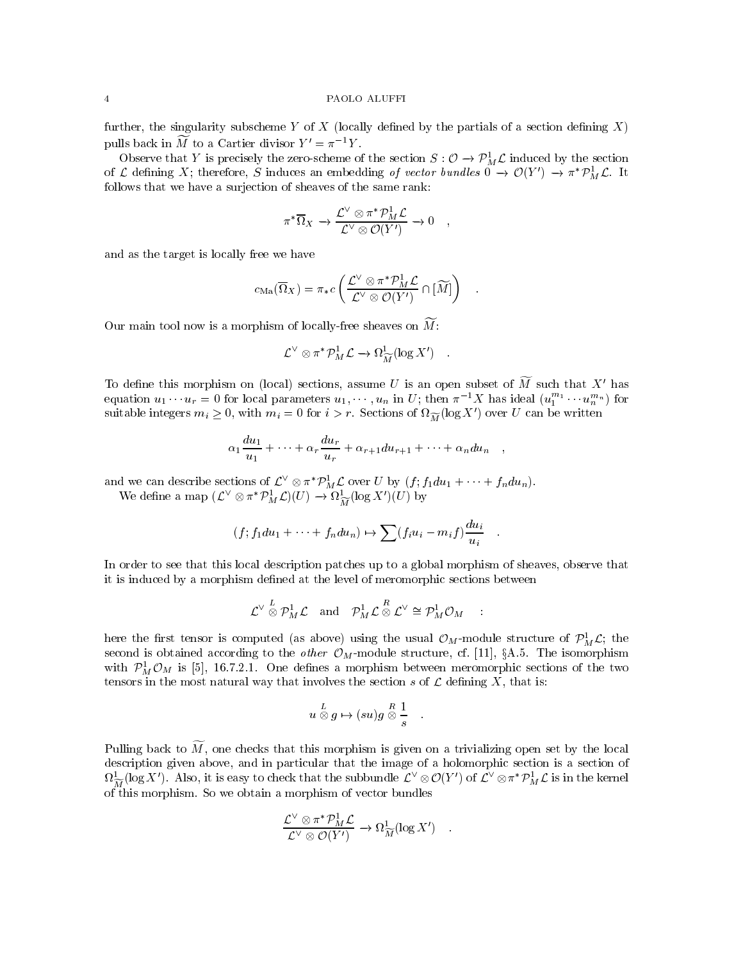### 4 PAOLO ALUFFI

further, the singularity subscheme Y of X (locally defined by the partials of a section defining  $X$ ) pulls back in  $\widetilde{M}$  to a Cartier divisor  $Y' = \pi^{-1}Y$ .

Observe that Y is precisely the zero-scheme of the section  $S: \mathcal{O} \to \mathcal{P}_{M}^{\times} \mathcal{L}$  induced by the section of L defining  $\Lambda$ ; therefore, S induces an embedding *of vector vanues*  $0 \to C(Y) \to \pi P_M L$ . It follows that we have a surjection of sheaves of the same rank:

$$
\pi^*\overline{\Omega}_X \to \frac{\mathcal{L}^{\vee} \otimes \pi^* \mathcal{P}_M^1 \mathcal{L}}{\mathcal{L}^{\vee} \otimes \mathcal{O}(Y')} \to 0 \quad ,
$$

and as the target is locally free we have

$$
c_{\rm Ma}(\overline{\Omega}_X) = \pi_* c \left( \frac{\mathcal{L}^{\vee} \otimes \pi^* \mathcal{P}_M^1 \mathcal{L}}{\mathcal{L}^{\vee} \otimes \mathcal{O}(Y')} \cap [\widetilde{M}] \right) \quad .
$$

Our main tool now is a morphism of locally-free sheaves on  $\widetilde{M}$ :

$$
\mathcal{L}^{\vee} \otimes \pi^* \mathcal{P}_M^1 \mathcal{L} \to \Omega^1_{\widetilde{M}}(\log X') \quad .
$$

To define this morphism on (local) sections, assume U is an open subset of  $\widetilde{M}$  such that X' has equation  $u_1 \cdots u_r = 0$  for local parameters  $u_1, \cdots, u_n$  in  $U$ ; then  $\pi^{-1}X$  has ideal  $(u_1^{n_1} \cdots u_n^{n_n})$  for suitable integers  $m_i \geq 0$ , with  $m_i = 0$  for  $i > r$ . Sections of  $\iota \widetilde{M}$  (log  $\Lambda$  ) over U can be written

$$
\alpha_1 \frac{du_1}{u_1} + \dots + \alpha_r \frac{du_r}{u_r} + \alpha_{r+1} du_{r+1} + \dots + \alpha_n du_n \quad ,
$$

and we can describe sections of  $L \otimes \pi$   $P_M L$  over U by  $(j; j_1 a u_1 + \cdots + j_n a u_n)$ . we define a map  $(L^{\dagger} \otimes \pi \nrightarrow_{\tilde{M}} L)(U) \rightarrow \Omega_{\tilde{M}}^{\dagger}(\log \Lambda^{\dagger})(U)$  by

$$
(f; f_1 du_1 + \cdots + f_n du_n) \mapsto \sum (f_i u_i - m_i f) \frac{du_i}{u_i} .
$$

In order to see that this local description patches up to a global morphism of sheaves, observe that it is induced by a morphism defined at the level of meromorphic sections between

$$
\mathcal{L}^{\vee} \stackrel{L}{\otimes} \mathcal{P}_M^1 \mathcal{L} \quad \text{and} \quad \mathcal{P}_M^1 \mathcal{L} \stackrel{R}{\otimes} \mathcal{L}^{\vee} \cong \mathcal{P}_M^1 \mathcal{O}_M \quad :
$$

here the first tensor is computed (as above) using the usual  $\mathcal{O}_M\text{-}\text{modune}$  structure of  $\mathcal{P}^*_M\mathcal{L};$  the second is obtained according to the other  $\mathcal{O}_M$ -module structure, cf. [11], §A.5. The isomorphism with  $\ell_{M}^{*}$   $\cup_{M}$  is [5], 16.7.2.1. One defines a morphism between meromorphic sections of the two tensors in the most natural way that involves the section s of  $\mathcal L$  defining X, that is:

$$
u \overset{L}{\otimes} g \mapsto (su) g \overset{R}{\otimes} \frac{1}{s} \quad.
$$

Pulling back to  $\widetilde{M}$ , one checks that this morphism is given on a trivializing open set by the local description given above, and in particular that the image of a holomorphic section is a section of  $M_{\widetilde{M}}^-(\log X)$ . Also, it is easy to check that the subbundle  $L^+\otimes \mathcal{O}(Y^-)$  or  $L^+\otimes \pi^ \mathcal{P}_{M}^+L$  is in the kernel of this morphism. So we obtain a morphism of vector bundles

$$
\frac{\mathcal{L}^{\vee} \otimes \pi^* \mathcal{P}_M^1 \mathcal{L}}{\mathcal{L}^{\vee} \otimes \mathcal{O}(Y')} \to \Omega^1_{\widetilde{M}}(\log X') .
$$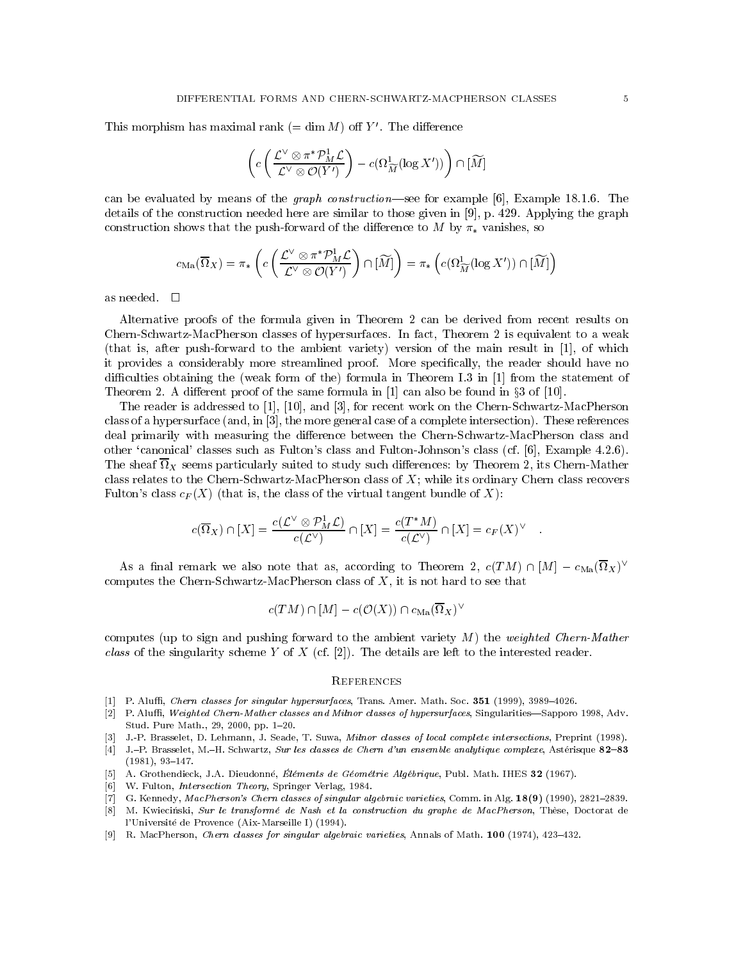This morphism has maximal rank ( $= \dim M$ ) off Y'. The difference

$$
\left(c\left(\frac{\mathcal{L}^{\vee}\otimes\pi^*\mathcal{P}^1_M\mathcal{L}}{\mathcal{L}^{\vee}\otimes\mathcal{O}(Y')}\right)-c(\Omega_{\widetilde{M}}^1(\log X'))\right)\cap[\widetilde{M}]
$$

can be evaluated by means of the *graph construction*—see for example [6], Example 18.1.6. The details of the construction needed here are similar to those given in [9], p. 429. Applying the graph construction shows that the push-forward of the difference to M by  $\pi_*$  vanishes, so

$$
c_{\mathrm{Ma}}(\overline{\Omega}_{X})=\pi_*\left(c\left(\frac{\mathcal{L}^{\vee}\otimes\pi^*\mathcal{P}^1_M\mathcal{L}}{\mathcal{L}^{\vee}\otimes\mathcal{O}(Y')}\right)\cap [\widetilde{M}]\right)=\pi_*\left(c(\Omega_{\widetilde{M}}^1(\log X'))\cap [\widetilde{M}]\right)
$$

Alternative proofs of the formula given in Theorem 2 can be derived from recent results on Chern-Schwartz-MacPherson classes of hypersurfaces. In fact, Theorem 2 is equivalent to a weak (that is, after push-forward to the ambient variety) version of the main result in [1], of which it provides a considerably more streamlined proof. More specically, the reader should have no difficulties obtaining the (weak form of the) formula in Theorem I.3 in [1] from the statement of Theorem 2. A different proof of the same formula in  $[1]$  can also be found in  $\S 3$  of  $[10]$ .

The reader is addressed to [1], [10], and [3], for recent work on the Chern-Schwartz-MacPherson class of a hypersurface (and, in [3], the more general case of a complete intersection). These references deal primarily with measuring the difference between the Chern-Schwartz-MacPherson class and other `canonical' classes such as Fulton's class and Fulton-Johnson's class (cf. [6], Example 4.2.6).  $\Lambda$  sheaf is the sheaf of study suited to study such dierences: by Theorem 2, its Chern-Mathemather  $\mu$ class relates to the Chern-Schwartz-MacPherson class of X; while its ordinary Chern class recovers Fulton's class  $c_F(X)$  (that is, the class of the virtual tangent bundle of X):

$$
c(\overline{\Omega}_X) \cap [X] = \frac{c(\mathcal{L}^{\vee} \otimes \mathcal{P}_M^1 \mathcal{L})}{c(\mathcal{L}^{\vee})} \cap [X] = \frac{c(T^*M)}{c(\mathcal{L}^{\vee})} \cap [X] = c_F(X)^{\vee} \quad .
$$

As a final remark we also note that as, according to Theorem 2,  $c(I \, M) \sqcup |M| = c_{\text{Ma}}(M \chi)$ computes the Chern-Schwartz-MacPherson class of  $X$ , it is not hard to see that

$$
c(TM)\cap [M]-c(\mathcal{O}(X))\cap c_{\rm Ma}(\overline{\Omega}_X)^\vee
$$

computes (up to sign and pushing forward to the ambient variety  $M$ ) the weighted Chern-Mather class of the singularity scheme Y of X (cf. [2]). The details are left to the interested reader.

# **REFERENCES**

- $[1]$  P. Aluffi, *Chern classes for singular hypersurfaces*, Trans. Amer. Math. Soc. **351** (1999), 3989-4026.
- [2] P. Aluffi, Weighted Chern-Mather classes and Milnor classes of hypersurfaces, Singularities-Sapporo 1998, Adv. Stud. Pure Math., 29, 2000, pp. 1-20.
- [3] J.-P. Brasselet, D. Lehmann, J. Seade, T. Suwa, Milnor classes of local complete intersections, Preprint (1998).
- [4] J.-P. Brasselet, M.-H. Schwartz, Sur les classes de Chern d'un ensemble analytique complexe, Astérisque 82-83  $(1981), 93-147.$
- [5] A. Grothendieck, J.A. Dieudonné, Éléments de Géométrie Algébrique, Publ. Math. IHES 32 (1967).
- [6] W. Fulton, Intersection Theory, Springer Verlag, 1984.
- [7] G. Kennedy, MacPherson's Chern classes of singular algebraic varieties, Comm. in Alg. 18(9) (1990), 2821-2839.
- [8] M. Kwiecinski, Sur le transformé de Nash et la construction du graphe de MacPherson, Thèse, Doctorat de l'Universite de Provence (Aix-Marseille I) (1994).
- [9] R. MacPherson, *Chern classes for singular algebraic varieties*, Annals of Math.  $100$  (1974),  $423-432$ .